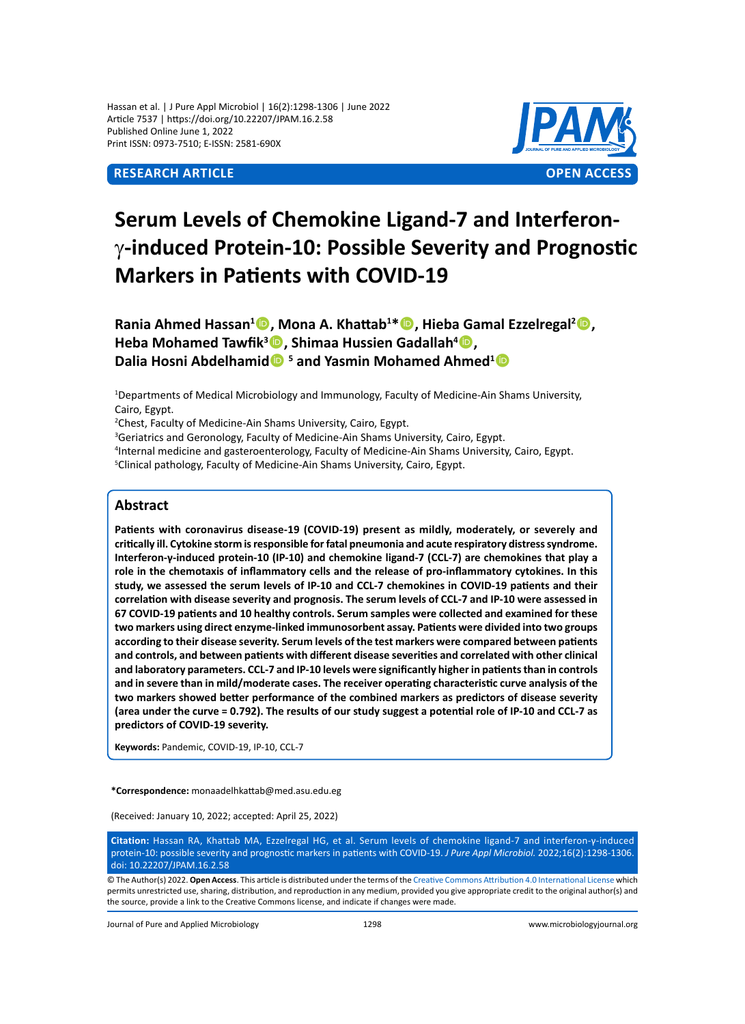Hassan et al. | J Pure Appl Microbiol | 16(2):1298-1306 | June 2022 Article 7537 | https://doi.org/10.22207/JPAM.16.2.58 Published Online June 1, 2022 Print ISSN: 0973-7510; E-ISSN: 2581-690X



# **Serum Levels of Chemokine Ligand-7 and Interferon**γ**-induced Protein-10: Possible Severity and Prognostic Markers in Patients with COVID-19**

**Rania Ahmed Hassan<sup>1</sup> D, Mona A. Khattab<sup>1\*</sup> D, Hieba Gamal Ezzelregal<sup>2</sup> D, Heba Mohamed Tawfik<sup>3</sup> , Shimaa Hussien Gadallah4 ,** Dalia Hosni Abdelhamid<sup><sup>5</sup> and Yasmin Mohamed Ahmed<sup>1</sup><sup>1</sup></sup>

1 Departments of Medical Microbiology and Immunology, Faculty of Medicine-Ain Shams University, Cairo, Egypt.

2 Chest, Faculty of Medicine-Ain Shams University, Cairo, Egypt.

<sup>3</sup>Geriatrics and Geronology, Faculty of Medicine-Ain Shams University, Cairo, Egypt.

4 Internal medicine and gasteroenterology, Faculty of Medicine-Ain Shams University, Cairo, Egypt.

<sup>5</sup>Clinical pathology, Faculty of Medicine-Ain Shams University, Cairo, Egypt.

# **Abstract**

**Patients with coronavirus disease-19 (COVID-19) present as mildly, moderately, or severely and critically ill. Cytokine storm is responsible for fatal pneumonia and acute respiratory distress syndrome. Interferon-γ-induced protein-10 (IP-10) and chemokine ligand-7 (CCL-7) are chemokines that play a role in the chemotaxis of inflammatory cells and the release of pro-inflammatory cytokines. In this study, we assessed the serum levels of IP-10 and CCL-7 chemokines in COVID-19 patients and their correlation with disease severity and prognosis. The serum levels of CCL-7 and IP-10 were assessed in 67 COVID-19 patients and 10 healthy controls. Serum samples were collected and examined for these two markers using direct enzyme-linked immunosorbent assay. Patients were divided into two groups according to their disease severity. Serum levels of the test markers were compared between patients and controls, and between patients with different disease severities and correlated with other clinical and laboratory parameters. CCL-7 and IP-10 levels were significantly higher in patients than in controls and in severe than in mild/moderate cases. The receiver operating characteristic curve analysis of the two markers showed better performance of the combined markers as predictors of disease severity (area under the curve = 0.792). The results of our study suggest a potential role of IP-10 and CCL-7 as predictors of COVID-19 severity.**

**Keywords:** Pandemic, COVID-19, IP-10, CCL-7

**\*Correspondence:** monaadelhkattab@med.asu.edu.eg

(Received: January 10, 2022; accepted: April 25, 2022)

**Citation:** Hassan RA, Khattab MA, Ezzelregal HG, et al. Serum levels of chemokine ligand-7 and interferon-γ-induced protein-10: possible severity and prognostic markers in patients with COVID-19. *J Pure Appl Microbiol.* 2022;16(2):1298-1306. doi: 10.22207/JPAM.16.2.58

© The Author(s) 2022. **Open Access**. This article is distributed under the terms of the [Creative Commons Attribution 4.0 International License](https://creativecommons.org/licenses/by/4.0/) which permits unrestricted use, sharing, distribution, and reproduction in any medium, provided you give appropriate credit to the original author(s) and the source, provide a link to the Creative Commons license, and indicate if changes were made.

Journal of Pure and Applied Microbiology 1298 www.microbiologyjournal.org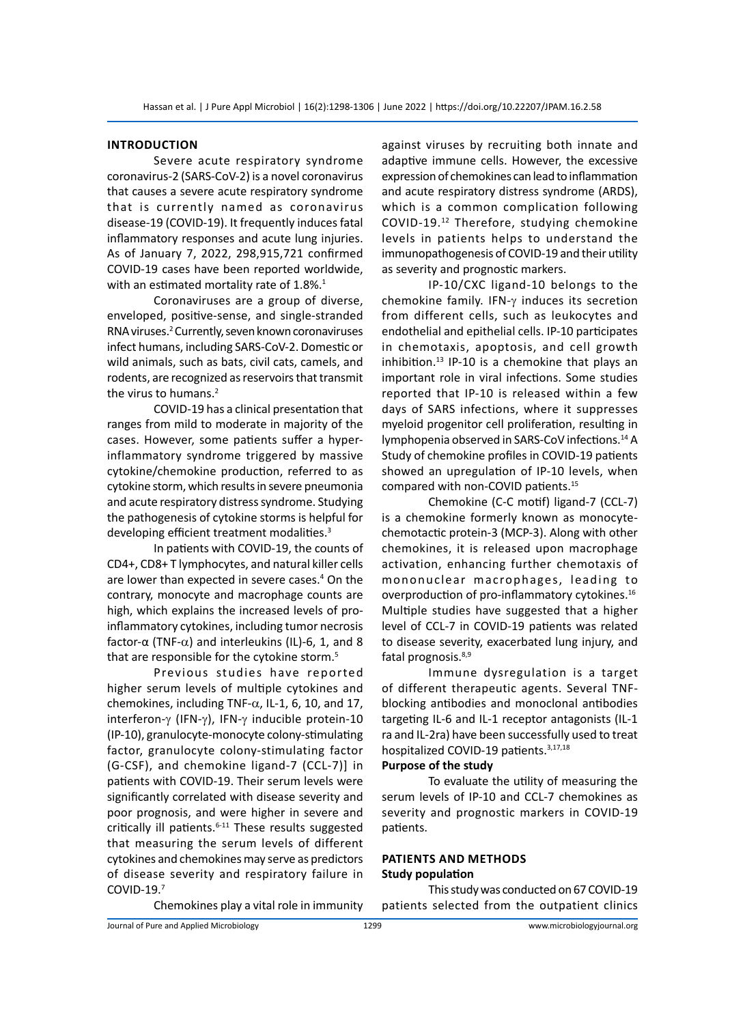# **Introduction**

Severe acute respiratory syndrome coronavirus-2 (SARS-CoV-2) is a novel coronavirus that causes a severe acute respiratory syndrome that is currently named as coronavirus disease-19 (COVID-19). It frequently induces fatal inflammatory responses and acute lung injuries. As of January 7, 2022, 298,915,721 confirmed COVID-19 cases have been reported worldwide, with an estimated mortality rate of  $1.8\%$ .<sup>1</sup>

Coronaviruses are a group of diverse, enveloped, positive-sense, and single-stranded RNA viruses.<sup>2</sup> Currently, seven known coronaviruses infect humans, including SARS-CoV-2. Domestic or wild animals, such as bats, civil cats, camels, and rodents, are recognized as reservoirs that transmit the virus to humans.<sup>2</sup>

COVID-19 has a clinical presentation that ranges from mild to moderate in majority of the cases. However, some patients suffer a hyperinflammatory syndrome triggered by massive cytokine/chemokine production, referred to as cytokine storm, which results in severe pneumonia and acute respiratory distress syndrome. Studying the pathogenesis of cytokine storms is helpful for developing efficient treatment modalities.<sup>3</sup>

In patients with COVID-19, the counts of CD4+, CD8+ T lymphocytes, and natural killer cells are lower than expected in severe cases.<sup>4</sup> On the contrary, monocyte and macrophage counts are high, which explains the increased levels of proinflammatory cytokines, including tumor necrosis factor-α (TNF-α) and interleukins (IL)-6, 1, and 8 that are responsible for the cytokine storm.<sup>5</sup>

Previous studies have reported higher serum levels of multiple cytokines and chemokines, including TNF- $\alpha$ , IL-1, 6, 10, and 17, interferon-γ (IFN-γ), IFN-γ inducible protein-10 (IP-10), granulocyte-monocyte colony-stimulating factor, granulocyte colony-stimulating factor (G-CSF), and chemokine ligand-7 (CCL-7)] in patients with COVID-19. Their serum levels were significantly correlated with disease severity and poor prognosis, and were higher in severe and critically ill patients. $6-11$  These results suggested that measuring the serum levels of different cytokines and chemokines may serve as predictors of disease severity and respiratory failure in COVID-19.7

Chemokines play a vital role in immunity

against viruses by recruiting both innate and adaptive immune cells. However, the excessive expression of chemokines can lead to inflammation and acute respiratory distress syndrome (ARDS), which is a common complication following COVID-19.12 Therefore, studying chemokine levels in patients helps to understand the immunopathogenesis of COVID-19 and their utility as severity and prognostic markers.

IP-10/CXC ligand-10 belongs to the chemokine family. IFN-γ induces its secretion from different cells, such as leukocytes and endothelial and epithelial cells. IP-10 participates in chemotaxis, apoptosis, and cell growth inhibition. $13$  IP-10 is a chemokine that plays an important role in viral infections. Some studies reported that IP-10 is released within a few days of SARS infections, where it suppresses myeloid progenitor cell proliferation, resulting in lymphopenia observed in SARS-CoV infections.14 A Study of chemokine profiles in COVID-19 patients showed an upregulation of IP-10 levels, when compared with non-COVID patients.15

Chemokine (C-C motif) ligand-7 (CCL-7) is a chemokine formerly known as monocytechemotactic protein-3 (MCP-3). Along with other chemokines, it is released upon macrophage activation, enhancing further chemotaxis of mononuclear macrophages, leading to overproduction of pro-inflammatory cytokines.16 Multiple studies have suggested that a higher level of CCL-7 in COVID-19 patients was related to disease severity, exacerbated lung injury, and fatal prognosis.<sup>8,9</sup>

Immune dysregulation is a target of different therapeutic agents. Several TNFblocking antibodies and monoclonal antibodies targeting IL-6 and IL-1 receptor antagonists (IL-1 ra and IL-2ra) have been successfully used to treat hospitalized COVID-19 patients.<sup>3,17,18</sup>

#### **Purpose of the study**

To evaluate the utility of measuring the serum levels of IP-10 and CCL-7 chemokines as severity and prognostic markers in COVID-19 patients.

# **Patients and Methods Study population**

This study was conducted on 67 COVID-19 patients selected from the outpatient clinics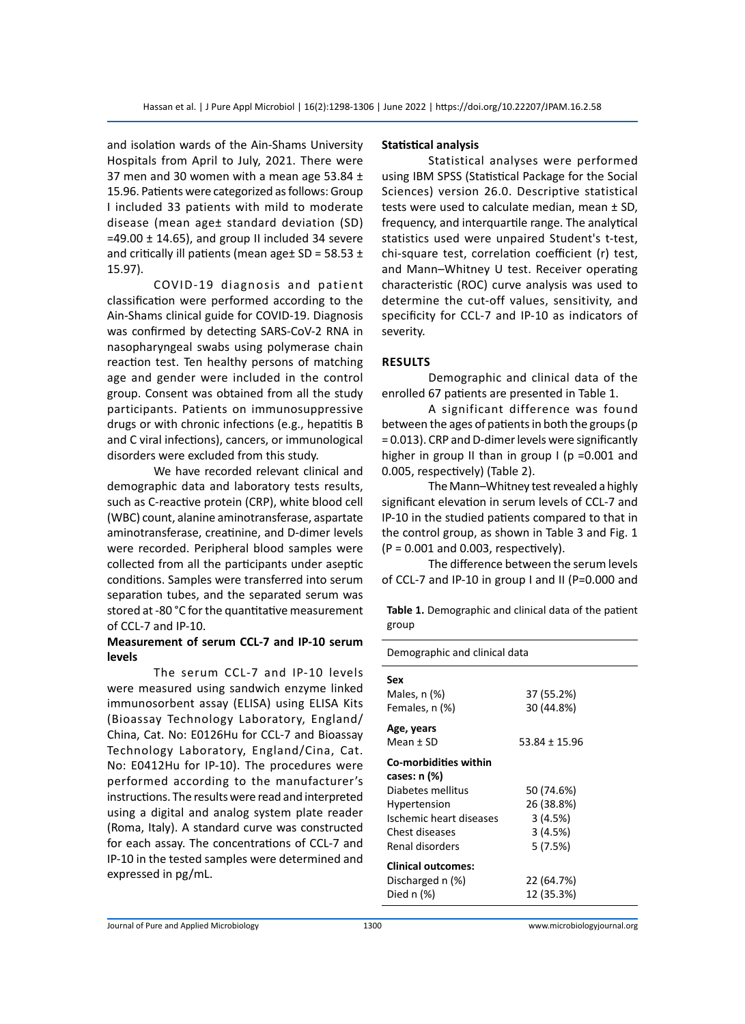and isolation wards of the Ain-Shams University Hospitals from April to July, 2021. There were 37 men and 30 women with a mean age 53.84  $\pm$ 15.96. Patients were categorized as follows: Group I included 33 patients with mild to moderate disease (mean age± standard deviation (SD)  $=$  49.00  $\pm$  14.65), and group II included 34 severe and critically ill patients (mean age $\pm$  SD = 58.53  $\pm$ 15.97).

COVID-19 diagnosis and patient classification were performed according to the Ain-Shams clinical guide for COVID-19. Diagnosis was confirmed by detecting SARS-CoV-2 RNA in nasopharyngeal swabs using polymerase chain reaction test. Ten healthy persons of matching age and gender were included in the control group. Consent was obtained from all the study participants. Patients on immunosuppressive drugs or with chronic infections (e.g., hepatitis B and C viral infections), cancers, or immunological disorders were excluded from this study.

We have recorded relevant clinical and demographic data and laboratory tests results, such as C-reactive protein (CRP), white blood cell (WBC) count, alanine aminotransferase, aspartate aminotransferase, creatinine, and D-dimer levels were recorded. Peripheral blood samples were collected from all the participants under aseptic conditions. Samples were transferred into serum separation tubes, and the separated serum was stored at -80 °C for the quantitative measurement of CCL-7 and IP-10.

# **Measurement of serum CCL-7 and IP-10 serum levels**

The serum CCL-7 and IP-10 levels were measured using sandwich enzyme linked immunosorbent assay (ELISA) using ELISA Kits (Bioassay Technology Laboratory, England/ China, Cat. No: E0126Hu for CCL-7 and Bioassay Technology Laboratory, England/Cina, Cat. No: E0412Hu for IP-10). The procedures were performed according to the manufacturer's instructions. The results were read and interpreted using a digital and analog system plate reader (Roma, Italy). A standard curve was constructed for each assay. The concentrations of CCL-7 and IP-10 in the tested samples were determined and expressed in pg/mL.

#### **Statistical analysis**

Statistical analyses were performed using IBM SPSS (Statistical Package for the Social Sciences) version 26.0. Descriptive statistical tests were used to calculate median, mean ± SD, frequency, and interquartile range. The analytical statistics used were unpaired Student's t-test, chi-square test, correlation coefficient (r) test, and Mann–Whitney U test. Receiver operating characteristic (ROC) curve analysis was used to determine the cut-off values, sensitivity, and specificity for CCL-7 and IP-10 as indicators of severity.

# **Results**

Demographic and clinical data of the enrolled 67 patients are presented in Table 1.

A significant difference was found between the ages of patients in both the groups (p = 0.013). CRP and D-dimer levels were significantly higher in group II than in group I (p = 0.001 and 0.005, respectively) (Table 2).

The Mann–Whitney test revealed a highly significant elevation in serum levels of CCL-7 and IP-10 in the studied patients compared to that in the control group, as shown in Table 3 and Fig. 1  $(P = 0.001$  and 0.003, respectively).

The difference between the serum levels of CCL-7 and IP-10 in group I and II (P=0.000 and

**Table 1.** Demographic and clinical data of the patient group

| Demographic and clinical data                                                                                                              |                                                           |  |
|--------------------------------------------------------------------------------------------------------------------------------------------|-----------------------------------------------------------|--|
| Sex<br>Males, n (%)<br>Females, n (%)                                                                                                      | 37 (55.2%)<br>30 (44.8%)                                  |  |
| Age, years<br>Mean ± SD                                                                                                                    | $53.84 \pm 15.96$                                         |  |
| Co-morbidities within<br>cases: n (%)<br>Diabetes mellitus<br>Hypertension<br>Ischemic heart diseases<br>Chest diseases<br>Renal disorders | 50 (74.6%)<br>26 (38.8%)<br>3(4.5%)<br>3(4.5%)<br>5(7.5%) |  |
| <b>Clinical outcomes:</b><br>Discharged n (%)<br>Died $n$ $(\%)$                                                                           | 22 (64.7%)<br>12 (35.3%)                                  |  |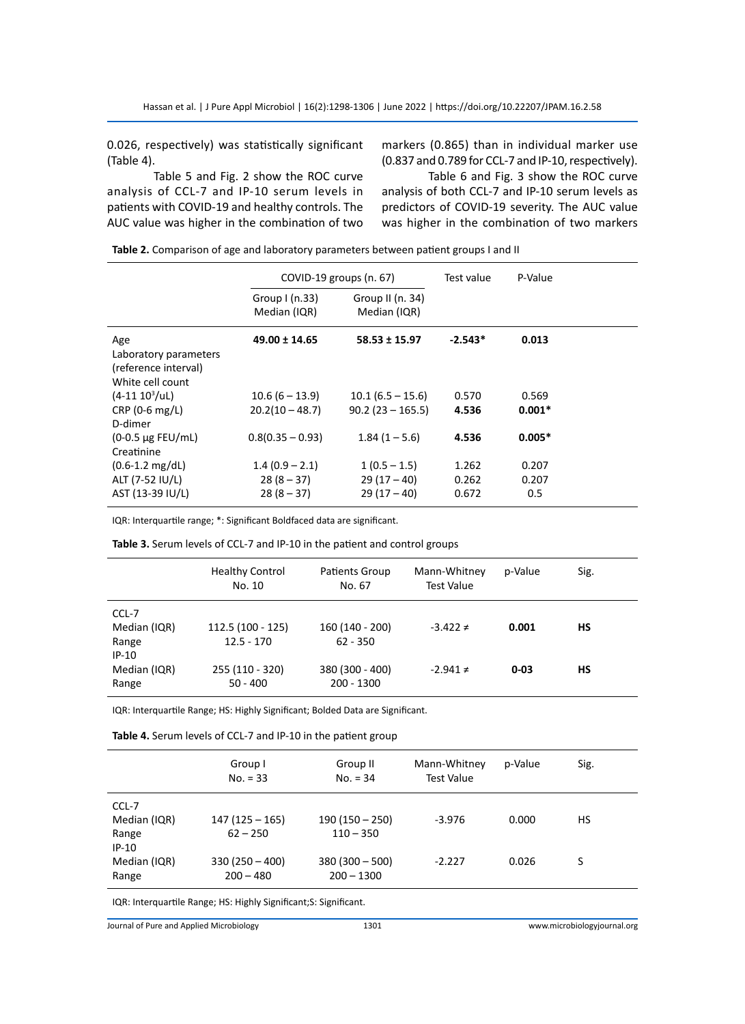0.026, respectively) was statistically significant (Table 4).

Table 5 and Fig. 2 show the ROC curve analysis of CCL-7 and IP-10 serum levels in patients with COVID-19 and healthy controls. The AUC value was higher in the combination of two markers (0.865) than in individual marker use (0.837 and 0.789 for CCL-7 and IP-10, respectively).

Table 6 and Fig. 3 show the ROC curve analysis of both CCL-7 and IP-10 serum levels as predictors of COVID-19 severity. The AUC value was higher in the combination of two markers

|                                              |                                              | Test value              | P-Value               |  |
|----------------------------------------------|----------------------------------------------|-------------------------|-----------------------|--|
| Group $I(n.33)$<br>Median (IQR)              | Group II (n. 34)<br>Median (IQR)             |                         |                       |  |
| $49.00 \pm 14.65$                            | $58.53 \pm 15.97$                            | $-2.543*$               | 0.013                 |  |
| $10.6(6 - 13.9)$<br>$20.2(10 - 48.7)$        | $10.1(6.5 - 15.6)$<br>$90.2(23 - 165.5)$     | 0.570<br>4.536          | 0.569<br>$0.001*$     |  |
| $0.8(0.35 - 0.93)$                           | $1.84(1 - 5.6)$                              | 4.536                   | $0.005*$              |  |
| $1.4(0.9 - 2.1)$<br>$28(8-37)$<br>$28(8-37)$ | $1(0.5 - 1.5)$<br>$29(17-40)$<br>$29(17-40)$ | 1.262<br>0.262<br>0.672 | 0.207<br>0.207<br>0.5 |  |
|                                              |                                              | COVID-19 groups (n. 67) |                       |  |

**Table 2.** Comparison of age and laboratory parameters between patient groups I and II

IQR: Interquartile range; \*: Significant Boldfaced data are significant.

**Table 3.** Serum levels of CCL-7 and IP-10 in the patient and control groups

|                                           | <b>Healthy Control</b><br>No. 10  | Patients Group<br>No. 67        | Mann-Whitney<br><b>Test Value</b> | p-Value  | Sig. |
|-------------------------------------------|-----------------------------------|---------------------------------|-----------------------------------|----------|------|
| CCL-7<br>Median (IQR)<br>Range<br>$IP-10$ | 112.5 (100 - 125)<br>$12.5 - 170$ | 160 (140 - 200)<br>$62 - 350$   | $-3.422 \neq$                     | 0.001    | НS   |
| Median (IQR)<br>Range                     | 255 (110 - 320)<br>$50 - 400$     | 380 (300 - 400)<br>$200 - 1300$ | $-2.941 \neq$                     | $0 - 03$ | НS   |

IQR: Interquartile Range; HS: Highly Significant; Bolded Data are Significant.

**Table 4.** Serum levels of CCL-7 and IP-10 in the patient group

|                                           | Group I<br>$No. = 33$           | Group II<br>$No. = 34$          | Mann-Whitney<br><b>Test Value</b> | p-Value | Sig. |
|-------------------------------------------|---------------------------------|---------------------------------|-----------------------------------|---------|------|
| CCL-7<br>Median (IQR)<br>Range<br>$IP-10$ | $147(125-165)$<br>$62 - 250$    | $190(150 - 250)$<br>$110 - 350$ | $-3.976$                          | 0.000   | HS.  |
| Median (IQR)<br>Range                     | $330(250 - 400)$<br>$200 - 480$ | $380(300-500)$<br>$200 - 1300$  | $-2.227$                          | 0.026   | S    |

IQR: Interquartile Range; HS: Highly Significant;S: Significant.

Journal of Pure and Applied Microbiology 1301 www.microbiologyjournal.org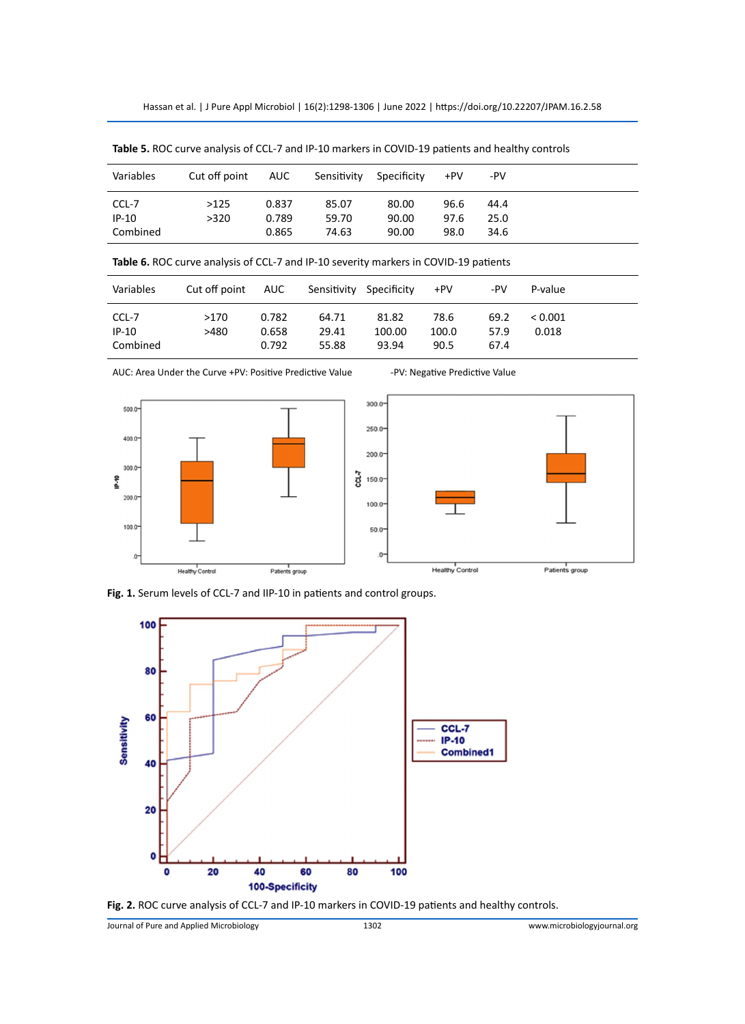Hassan et al. | J Pure Appl Microbiol | 16(2):1298-1306 | June 2022 | https://doi.org/10.22207/JPAM.16.2.58

| Variables | Cut off point | AUC   | Sensitivity | Specificity | +PV  | -PV  |
|-----------|---------------|-------|-------------|-------------|------|------|
| CCL-7     | >125          | 0.837 | 85.07       | 80.00       | 96.6 | 44.4 |
| $IP-10$   | >320          | 0.789 | 59.70       | 90.00       | 97.6 | 25.0 |
| Combined  |               | 0.865 | 74.63       | 90.00       | 98.0 | 34.6 |

**Table 5.** ROC curve analysis of CCL-7 and IP-10 markers in COVID-19 patients and healthy controls

**Table 6.** ROC curve analysis of CCL-7 and IP-10 severity markers in COVID-19 patients

| Variables | Cut off point AUC |       | Sensitivity Specificity |        | +PV   | -PV  | P-value |  |
|-----------|-------------------|-------|-------------------------|--------|-------|------|---------|--|
| CCL-7     | >170              | 0.782 | 64.71                   | 81.82  | 78.6  | 69.2 | < 0.001 |  |
| $IP-10$   | >480              | 0.658 | 29.41                   | 100.00 | 100.0 | 57.9 | 0.018   |  |
| Combined  |                   | 0.792 | 55.88                   | 93.94  | 90.5  | 67.4 |         |  |

AUC: Area Under the Curve +PV: Positive Predictive Value -PV: Negative Predictive Value



**Fig. 1.** Serum levels of CCL-7 and IIP-10 in patients and control groups.



**Fig. 2.** ROC curve analysis of CCL-7 and IP-10 markers in COVID-19 patients and healthy controls.

Journal of Pure and Applied Microbiology 1302 www.microbiologyjournal.org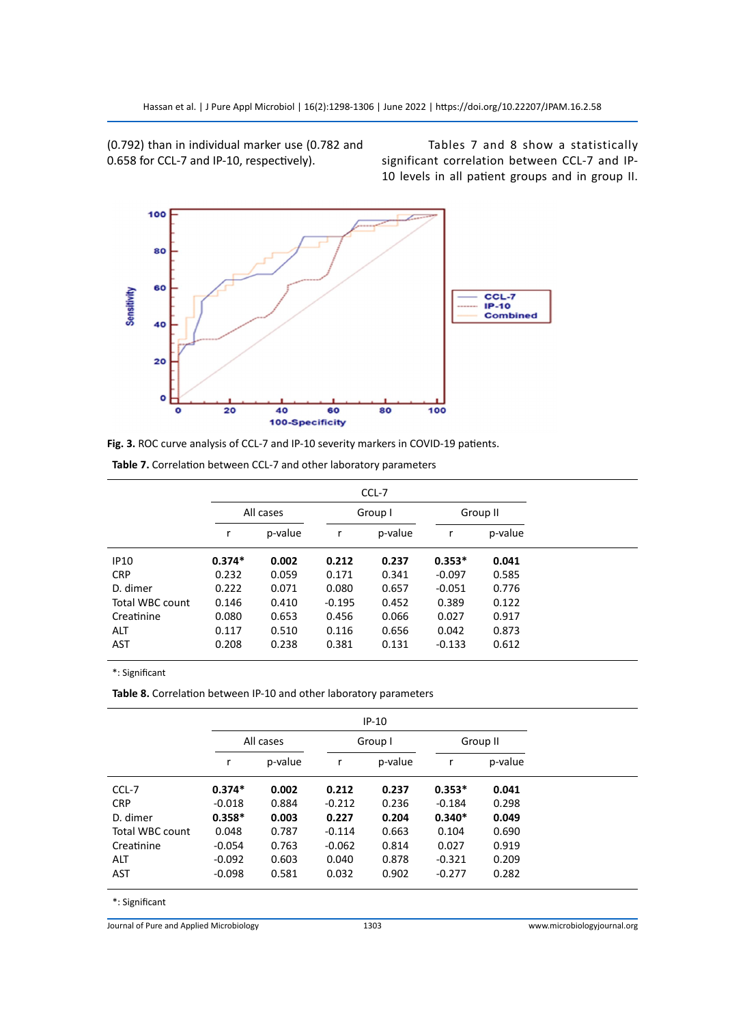(0.792) than in individual marker use (0.782 and 0.658 for CCL-7 and IP-10, respectively).

Tables 7 and 8 show a statistically significant correlation between CCL-7 and IP-10 levels in all patient groups and in group II.



| Fig. 3. ROC curve analysis of CCL-7 and IP-10 severity markers in COVID-19 patients. |  |
|--------------------------------------------------------------------------------------|--|
|--------------------------------------------------------------------------------------|--|

|                 |          | CCL-7     |          |         |          |          |  |  |  |
|-----------------|----------|-----------|----------|---------|----------|----------|--|--|--|
|                 |          | All cases |          | Group I |          | Group II |  |  |  |
|                 |          | p-value   | r        | p-value | r        | p-value  |  |  |  |
| <b>IP10</b>     | $0.374*$ | 0.002     | 0.212    | 0.237   | $0.353*$ | 0.041    |  |  |  |
| <b>CRP</b>      | 0.232    | 0.059     | 0.171    | 0.341   | $-0.097$ | 0.585    |  |  |  |
| D. dimer        | 0.222    | 0.071     | 0.080    | 0.657   | $-0.051$ | 0.776    |  |  |  |
| Total WBC count | 0.146    | 0.410     | $-0.195$ | 0.452   | 0.389    | 0.122    |  |  |  |
| Creatinine      | 0.080    | 0.653     | 0.456    | 0.066   | 0.027    | 0.917    |  |  |  |
| <b>ALT</b>      | 0.117    | 0.510     | 0.116    | 0.656   | 0.042    | 0.873    |  |  |  |
| <b>AST</b>      | 0.208    | 0.238     | 0.381    | 0.131   | $-0.133$ | 0.612    |  |  |  |

**Table 7.** Correlation between CCL-7 and other laboratory parameters

\*: Significant

**Table 8.** Correlation between IP-10 and other laboratory parameters

|                 |          | $IP-10$   |          |         |          |          |  |  |  |
|-----------------|----------|-----------|----------|---------|----------|----------|--|--|--|
|                 |          | All cases |          | Group I |          | Group II |  |  |  |
|                 |          | p-value   | r        | p-value | r        | p-value  |  |  |  |
| CCL-7           | $0.374*$ | 0.002     | 0.212    | 0.237   | $0.353*$ | 0.041    |  |  |  |
| <b>CRP</b>      | $-0.018$ | 0.884     | $-0.212$ | 0.236   | $-0.184$ | 0.298    |  |  |  |
| D. dimer        | $0.358*$ | 0.003     | 0.227    | 0.204   | $0.340*$ | 0.049    |  |  |  |
| Total WBC count | 0.048    | 0.787     | $-0.114$ | 0.663   | 0.104    | 0.690    |  |  |  |
| Creatinine      | $-0.054$ | 0.763     | $-0.062$ | 0.814   | 0.027    | 0.919    |  |  |  |
| <b>ALT</b>      | $-0.092$ | 0.603     | 0.040    | 0.878   | $-0.321$ | 0.209    |  |  |  |
| <b>AST</b>      | $-0.098$ | 0.581     | 0.032    | 0.902   | $-0.277$ | 0.282    |  |  |  |

\*: Significant

Journal of Pure and Applied Microbiology 1303 www.microbiologyjournal.org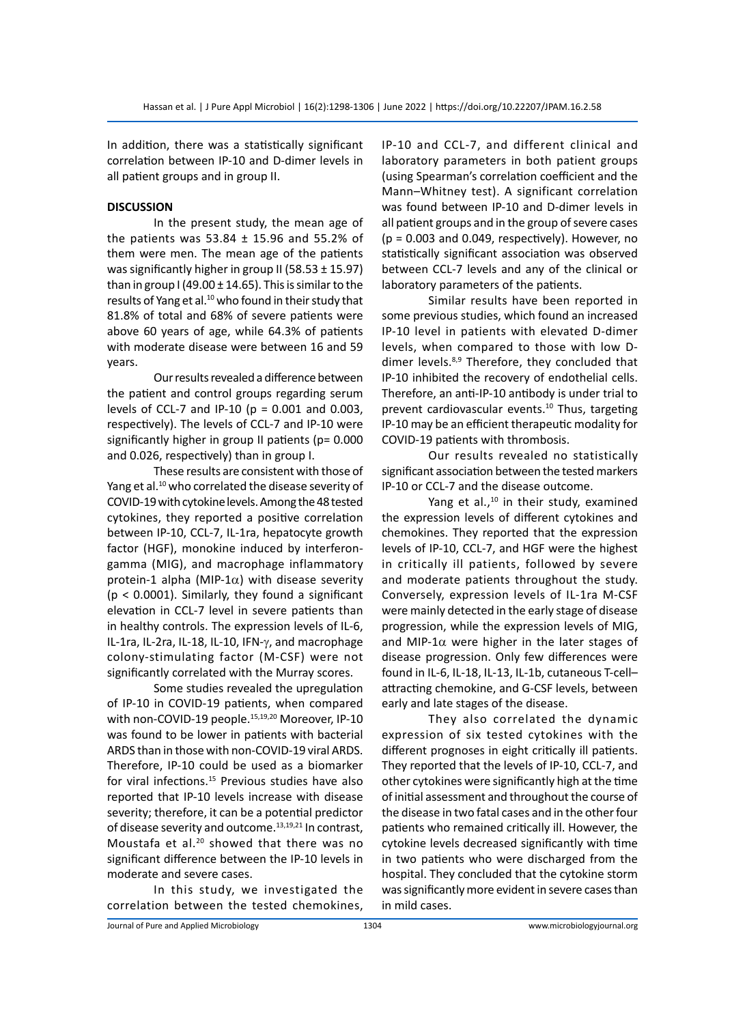In addition, there was a statistically significant correlation between IP-10 and D-dimer levels in all patient groups and in group II.

## **DISCUSSION**

In the present study, the mean age of the patients was 53.84  $\pm$  15.96 and 55.2% of them were men. The mean age of the patients was significantly higher in group II (58.53  $\pm$  15.97) than in group I (49.00  $\pm$  14.65). This is similar to the results of Yang et al.<sup>10</sup> who found in their study that 81.8% of total and 68% of severe patients were above 60 years of age, while 64.3% of patients with moderate disease were between 16 and 59 years.

Our results revealed a difference between the patient and control groups regarding serum levels of CCL-7 and IP-10 (p = 0.001 and 0.003, respectively). The levels of CCL-7 and IP-10 were significantly higher in group II patients (p= 0.000 and 0.026, respectively) than in group I.

These results are consistent with those of Yang et al.<sup>10</sup> who correlated the disease severity of COVID-19 with cytokine levels. Among the 48 tested cytokines, they reported a positive correlation between IP-10, CCL-7, IL-1ra, hepatocyte growth factor (HGF), monokine induced by interferongamma (MIG), and macrophage inflammatory protein-1 alpha (MIP-1 $\alpha$ ) with disease severity (p < 0.0001). Similarly, they found a significant elevation in CCL-7 level in severe patients than in healthy controls. The expression levels of IL-6, IL-1ra, IL-2ra, IL-18, IL-10, IFN-γ, and macrophage colony-stimulating factor (M-CSF) were not significantly correlated with the Murray scores.

Some studies revealed the upregulation of IP-10 in COVID-19 patients, when compared with non-COVID-19 people.<sup>15,19,20</sup> Moreover, IP-10 was found to be lower in patients with bacterial ARDS than in those with non-COVID-19 viral ARDS. Therefore, IP-10 could be used as a biomarker for viral infections.<sup>15</sup> Previous studies have also reported that IP-10 levels increase with disease severity; therefore, it can be a potential predictor of disease severity and outcome.<sup>13,19,21</sup> In contrast, Moustafa et al.20 showed that there was no significant difference between the IP-10 levels in moderate and severe cases.

In this study, we investigated the correlation between the tested chemokines,

IP-10 and CCL-7, and different clinical and laboratory parameters in both patient groups (using Spearman's correlation coefficient and the Mann–Whitney test). A significant correlation was found between IP-10 and D-dimer levels in all patient groups and in the group of severe cases  $(p = 0.003$  and 0.049, respectively). However, no statistically significant association was observed between CCL-7 levels and any of the clinical or laboratory parameters of the patients.

Similar results have been reported in some previous studies, which found an increased IP-10 level in patients with elevated D-dimer levels, when compared to those with low Ddimer levels.<sup>8,9</sup> Therefore, they concluded that IP-10 inhibited the recovery of endothelial cells. Therefore, an anti-IP-10 antibody is under trial to prevent cardiovascular events.10 Thus, targeting IP-10 may be an efficient therapeutic modality for COVID-19 patients with thrombosis.

Our results revealed no statistically significant association between the tested markers IP-10 or CCL-7 and the disease outcome.

Yang et al., $10$  in their study, examined the expression levels of different cytokines and chemokines. They reported that the expression levels of IP-10, CCL-7, and HGF were the highest in critically ill patients, followed by severe and moderate patients throughout the study. Conversely, expression levels of IL-1ra M-CSF were mainly detected in the early stage of disease progression, while the expression levels of MIG, and MIP-1 $\alpha$  were higher in the later stages of disease progression. Only few differences were found in IL-6, IL-18, IL-13, IL-1b, cutaneous T-cell– attracting chemokine, and G-CSF levels, between early and late stages of the disease.

They also correlated the dynamic expression of six tested cytokines with the different prognoses in eight critically ill patients. They reported that the levels of IP-10, CCL-7, and other cytokines were significantly high at the time of initial assessment and throughout the course of the disease in two fatal cases and in the other four patients who remained critically ill. However, the cytokine levels decreased significantly with time in two patients who were discharged from the hospital. They concluded that the cytokine storm was significantly more evident in severe cases than in mild cases.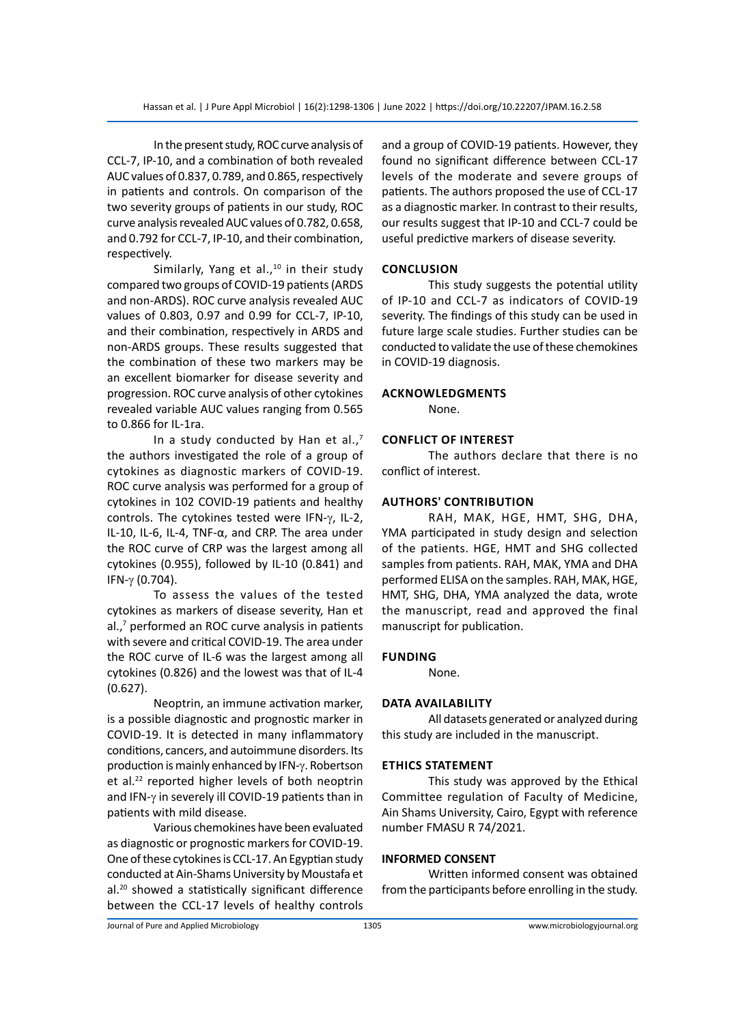In the present study, ROC curve analysis of CCL-7, IP-10, and a combination of both revealed AUC values of 0.837, 0.789, and 0.865, respectively in patients and controls. On comparison of the two severity groups of patients in our study, ROC curve analysis revealed AUC values of 0.782, 0.658, and 0.792 for CCL-7, IP-10, and their combination, respectively.

Similarly, Yang et al., $10$  in their study compared two groups of COVID-19 patients (ARDS and non-ARDS). ROC curve analysis revealed AUC values of 0.803, 0.97 and 0.99 for CCL-7, IP-10, and their combination, respectively in ARDS and non-ARDS groups. These results suggested that the combination of these two markers may be an excellent biomarker for disease severity and progression. ROC curve analysis of other cytokines revealed variable AUC values ranging from 0.565 to 0.866 for IL-1ra.

In a study conducted by Han et al., $<sup>7</sup>$ </sup> the authors investigated the role of a group of cytokines as diagnostic markers of COVID-19. ROC curve analysis was performed for a group of cytokines in 102 COVID-19 patients and healthy controls. The cytokines tested were IFN-γ, IL-2, IL-10, IL-6, IL-4, TNF-α, and CRP. The area under the ROC curve of CRP was the largest among all cytokines (0.955), followed by IL-10 (0.841) and IFN-γ (0.704).

To assess the values of the tested cytokines as markers of disease severity, Han et al.,<sup>7</sup> performed an ROC curve analysis in patients with severe and critical COVID-19. The area under the ROC curve of IL-6 was the largest among all cytokines (0.826) and the lowest was that of IL-4 (0.627).

Neoptrin, an immune activation marker, is a possible diagnostic and prognostic marker in COVID-19. It is detected in many inflammatory conditions, cancers, and autoimmune disorders. Its production is mainly enhanced by IFN-γ. Robertson et al.<sup>22</sup> reported higher levels of both neoptrin and IFN-γ in severely ill COVID-19 patients than in patients with mild disease.

Various chemokines have been evaluated as diagnostic or prognostic markers for COVID-19. One of these cytokines is CCL-17. An Egyptian study conducted at Ain-Shams University by Moustafa et al.<sup>20</sup> showed a statistically significant difference between the CCL-17 levels of healthy controls and a group of COVID-19 patients. However, they found no significant difference between CCL-17 levels of the moderate and severe groups of patients. The authors proposed the use of CCL-17 as a diagnostic marker. In contrast to their results, our results suggest that IP-10 and CCL-7 could be useful predictive markers of disease severity.

# **Conclusion**

This study suggests the potential utility of IP-10 and CCL-7 as indicators of COVID-19 severity. The findings of this study can be used in future large scale studies. Further studies can be conducted to validate the use of these chemokines in COVID-19 diagnosis.

## **Acknowledgments**

None.

# **Conflict of Interest**

The authors declare that there is no conflict of interest.

## **Authors' contribution**

RAH, MAK, HGE, HMT, SHG, DHA, YMA participated in study design and selection of the patients. HGE, HMT and SHG collected samples from patients. RAH, MAK, YMA and DHA performed ELISA on the samples. RAH, MAK, HGE, HMT, SHG, DHA, YMA analyzed the data, wrote the manuscript, read and approved the final manuscript for publication.

# **Funding**

None.

# **Data Availability**

All datasets generated or analyzed during this study are included in the manuscript.

#### **Ethics Statement**

This study was approved by the Ethical Committee regulation of Faculty of Medicine, Ain Shams University, Cairo, Egypt with reference number FMASU R 74/2021.

#### **INFORMED CONSENT**

Written informed consent was obtained from the participants before enrolling in the study.